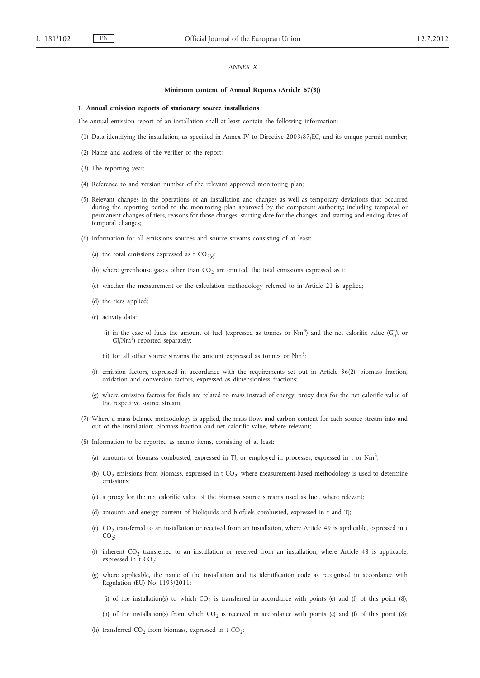# *ANNEX X*

#### **Minimum content of Annual Reports (Article 67(3))**

#### 1. **Annual emission reports of stationary source installations**

The annual emission report of an installation shall at least contain the following information:

- (1) Data identifying the installation, as specified in Annex IV to Directive 2003/87/EC, and its unique permit number;
- (2) Name and address of the verifier of the report;
- (3) The reporting year;
- (4) Reference to and version number of the relevant approved monitoring plan;
- (5) Relevant changes in the operations of an installation and changes as well as temporary deviations that occurred during the reporting period to the monitoring plan approved by the competent authority; including temporal or permanent changes of tiers, reasons for those changes, starting date for the changes, and starting and ending dates of temporal changes;
- (6) Information for all emissions sources and source streams consisting of at least:
	- (a) the total emissions expressed as t  $CO<sub>2(e)</sub>$ ;
	- (b) where greenhouse gases other than  $CO<sub>2</sub>$  are emitted, the total emissions expressed as t;
	- (c) whether the measurement or the calculation methodology referred to in Article 21 is applied;
	- (d) the tiers applied;
	- (e) activity data:
		- (i) in the case of fuels the amount of fuel (expressed as tonnes or  $Nm^3$ ) and the net calorific value (GJ/t or  $GJ/Nm<sup>3</sup>$ ) reported separately;
		- (ii) for all other source streams the amount expressed as tonnes or Nm<sup>3</sup>;
	- (f) emission factors, expressed in accordance with the requirements set out in Article 36(2); biomass fraction, oxidation and conversion factors, expressed as dimensionless fractions;
	- (g) where emission factors for fuels are related to mass instead of energy, proxy data for the net calorific value of the respective source stream;
- (7) Where a mass balance methodology is applied, the mass flow, and carbon content for each source stream into and out of the installation; biomass fraction and net calorific value, where relevant;
- (8) Information to be reported as memo items, consisting of at least:
	- (a) amounts of biomass combusted, expressed in TJ, or employed in processes, expressed in t or  $Nm^3$ ;
	- (b)  $CO<sub>2</sub>$  emissions from biomass, expressed in t  $CO<sub>2</sub>$ , where measurement-based methodology is used to determine emissions;
	- (c) a proxy for the net calorific value of the biomass source streams used as fuel, where relevant;
	- (d) amounts and energy content of bioliquids and biofuels combusted, expressed in t and TJ;
	- (e)  $CO<sub>2</sub>$  transferred to an installation or received from an installation, where Article 49 is applicable, expressed in t  $CO<sub>2</sub>$ ;
	- (f) inherent  $CO_2$  transferred to an installation or received from an installation, where Article 48 is applicable, expressed in t  $CO_2$ ;
	- (g) where applicable, the name of the installation and its identification code as recognised in accordance with Regulation (EU) No 1193/2011:
		- (i) of the installation(s) to which  $CO<sub>2</sub>$  is transferred in accordance with points (e) and (f) of this point (8);
		- (ii) of the installation(s) from which  $CO<sub>2</sub>$  is received in accordance with points (e) and (f) of this point (8);
	- (h) transferred  $CO_2$  from biomass, expressed in t  $CO_2$ ;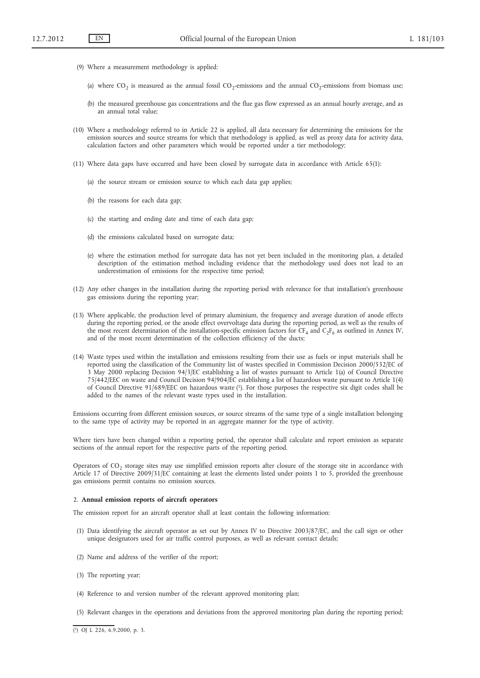- (9) Where a measurement methodology is applied:
	- (a) where  $CO<sub>2</sub>$  is measured as the annual fossil  $CO<sub>2</sub>$ -emissions and the annual  $CO<sub>2</sub>$ -emissions from biomass use;
	- (b) the measured greenhouse gas concentrations and the flue gas flow expressed as an annual hourly average, and as an annual total value;
- (10) Where a methodology referred to in Article 22 is applied, all data necessary for determining the emissions for the emission sources and source streams for which that methodology is applied, as well as proxy data for activity data, calculation factors and other parameters which would be reported under a tier methodology;
- (11) Where data gaps have occurred and have been closed by surrogate data in accordance with Article 65(1):
	- (a) the source stream or emission source to which each data gap applies;
	- (b) the reasons for each data gap;
	- (c) the starting and ending date and time of each data gap;
	- (d) the emissions calculated based on surrogate data;
	- (e) where the estimation method for surrogate data has not yet been included in the monitoring plan, a detailed description of the estimation method including evidence that the methodology used does not lead to an underestimation of emissions for the respective time period;
- (12) Any other changes in the installation during the reporting period with relevance for that installation's greenhouse gas emissions during the reporting year;
- (13) Where applicable, the production level of primary aluminium, the frequency and average duration of anode effects during the reporting period, or the anode effect overvoltage data during the reporting period, as well as the results of the most recent determination of the installation-specific emission factors for  $CF_4$  and  $C_2F_6$  as outlined in Annex IV, and of the most recent determination of the collection efficiency of the ducts;
- (14) Waste types used within the installation and emissions resulting from their use as fuels or input materials shall be reported using the classification of the Community list of wastes specified in Commission Decision 2000/532/EC of 3 May 2000 replacing Decision 94/3/EC establishing a list of wastes pursuant to Article 1(a) of Council Directive 75/442/EEC on waste and Council Decision 94/904/EC establishing a list of hazardous waste pursuant to Article 1(4) of Council Directive 91/689/EEC on hazardous waste (1). For those purposes the respective six digit codes shall be added to the names of the relevant waste types used in the installation.

Emissions occurring from different emission sources, or source streams of the same type of a single installation belonging to the same type of activity may be reported in an aggregate manner for the type of activity.

Where tiers have been changed within a reporting period, the operator shall calculate and report emission as separate sections of the annual report for the respective parts of the reporting period.

Operators of CO<sub>2</sub> storage sites may use simplified emission reports after closure of the storage site in accordance with Article 17 of Directive 2009/31/EC containing at least the elements listed under points 1 to 5, provided the greenhouse gas emissions permit contains no emission sources.

## 2. **Annual emission reports of aircraft operators**

The emission report for an aircraft operator shall at least contain the following information:

- (1) Data identifying the aircraft operator as set out by Annex IV to Directive 2003/87/EC, and the call sign or other unique designators used for air traffic control purposes, as well as relevant contact details;
- (2) Name and address of the verifier of the report;
- (3) The reporting year;
- (4) Reference to and version number of the relevant approved monitoring plan;
- (5) Relevant changes in the operations and deviations from the approved monitoring plan during the reporting period;